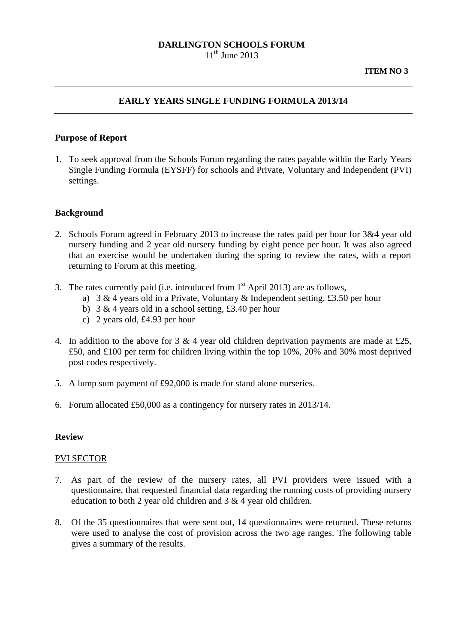# **DARLINGTON SCHOOLS FORUM**

 $11^{th}$  June 2013

## **EARLY YEARS SINGLE FUNDING FORMULA 2013/14**

#### **Purpose of Report**

1. To seek approval from the Schools Forum regarding the rates payable within the Early Years Single Funding Formula (EYSFF) for schools and Private, Voluntary and Independent (PVI) settings.

#### **Background**

- 2. Schools Forum agreed in February 2013 to increase the rates paid per hour for 3&4 year old nursery funding and 2 year old nursery funding by eight pence per hour. It was also agreed that an exercise would be undertaken during the spring to review the rates, with a report returning to Forum at this meeting.
- 3. The rates currently paid (i.e. introduced from  $1<sup>st</sup>$  April 2013) are as follows,
	- a) 3 & 4 years old in a Private, Voluntary & Independent setting, £3.50 per hour
	- b) 3 & 4 years old in a school setting, £3.40 per hour
	- c) 2 years old, £4.93 per hour
- 4. In addition to the above for 3  $&$  4 year old children deprivation payments are made at £25, £50, and £100 per term for children living within the top 10%, 20% and 30% most deprived post codes respectively.
- 5. A lump sum payment of £92,000 is made for stand alone nurseries.
- 6. Forum allocated £50,000 as a contingency for nursery rates in 2013/14.

#### **Review**

#### PVI SECTOR

- 7. As part of the review of the nursery rates, all PVI providers were issued with a questionnaire, that requested financial data regarding the running costs of providing nursery education to both 2 year old children and 3 & 4 year old children.
- 8. Of the 35 questionnaires that were sent out, 14 questionnaires were returned. These returns were used to analyse the cost of provision across the two age ranges. The following table gives a summary of the results.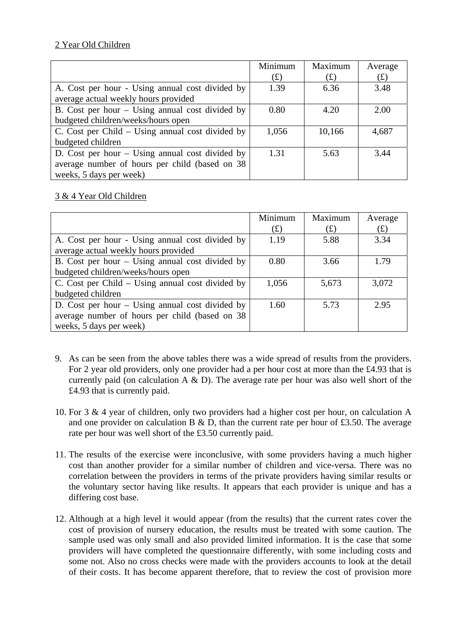# 2 Year Old Children

|                                                   | Minimum         | Maximum | Average |
|---------------------------------------------------|-----------------|---------|---------|
|                                                   | $f(\textbf{f})$ | (f)     | (f)     |
| A. Cost per hour - Using annual cost divided by   | 1.39            | 6.36    | 3.48    |
| average actual weekly hours provided              |                 |         |         |
| B. Cost per hour $-$ Using annual cost divided by | 0.80            | 4.20    | 2.00    |
| budgeted children/weeks/hours open                |                 |         |         |
| C. Cost per Child – Using annual cost divided by  | 1,056           | 10,166  | 4,687   |
| budgeted children                                 |                 |         |         |
| D. Cost per hour $-$ Using annual cost divided by | 1.31            | 5.63    | 3.44    |
| average number of hours per child (based on 38)   |                 |         |         |
| weeks, 5 days per week)                           |                 |         |         |

# 3 & 4 Year Old Children

|                                                    | Minimum         | Maximum | Average |
|----------------------------------------------------|-----------------|---------|---------|
|                                                    | $f(\textbf{f})$ | (f)     | (f(x))  |
| A. Cost per hour - Using annual cost divided by    | 1.19            | 5.88    | 3.34    |
| average actual weekly hours provided               |                 |         |         |
| B. Cost per hour $-$ Using annual cost divided by  | 0.80            | 3.66    | 1.79    |
| budgeted children/weeks/hours open                 |                 |         |         |
| C. Cost per Child $-$ Using annual cost divided by | 1,056           | 5,673   | 3,072   |
| budgeted children                                  |                 |         |         |
| D. Cost per hour $-$ Using annual cost divided by  | 1.60            | 5.73    | 2.95    |
| average number of hours per child (based on 38)    |                 |         |         |
| weeks, 5 days per week)                            |                 |         |         |

- 9. As can be seen from the above tables there was a wide spread of results from the providers. For 2 year old providers, only one provider had a per hour cost at more than the £4.93 that is currently paid (on calculation A  $\&$  D). The average rate per hour was also well short of the £4.93 that is currently paid.
- 10. For 3 & 4 year of children, only two providers had a higher cost per hour, on calculation A and one provider on calculation B  $\&$  D, than the current rate per hour of £3.50. The average rate per hour was well short of the £3.50 currently paid.
- 11. The results of the exercise were inconclusive, with some providers having a much higher cost than another provider for a similar number of children and vice-versa. There was no correlation between the providers in terms of the private providers having similar results or the voluntary sector having like results. It appears that each provider is unique and has a differing cost base.
- 12. Although at a high level it would appear (from the results) that the current rates cover the cost of provision of nursery education, the results must be treated with some caution. The sample used was only small and also provided limited information. It is the case that some providers will have completed the questionnaire differently, with some including costs and some not. Also no cross checks were made with the providers accounts to look at the detail of their costs. It has become apparent therefore, that to review the cost of provision more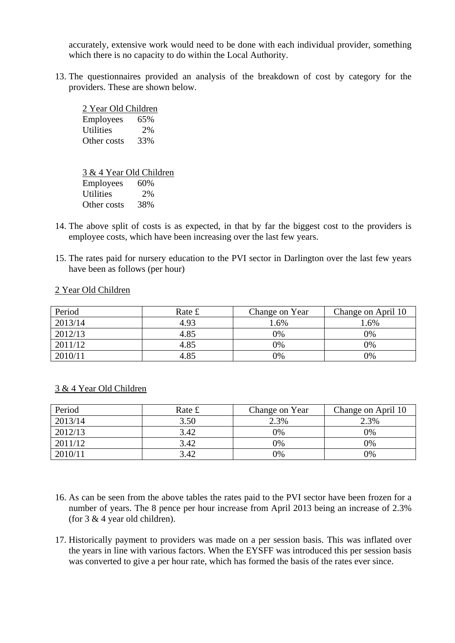accurately, extensive work would need to be done with each individual provider, something which there is no capacity to do within the Local Authority.

13. The questionnaires provided an analysis of the breakdown of cost by category for the providers. These are shown below.

| 2 Year Old Children |     |  |  |  |
|---------------------|-----|--|--|--|
| Employees           | 65% |  |  |  |
| <b>Utilities</b>    | 2%  |  |  |  |
| Other costs         | 33% |  |  |  |

3 & 4 Year Old Children Employees 60% Utilities 2% Other costs 38%

- 14. The above split of costs is as expected, in that by far the biggest cost to the providers is employee costs, which have been increasing over the last few years.
- 15. The rates paid for nursery education to the PVI sector in Darlington over the last few years have been as follows (per hour)

| Period  | Rate £ | Change on Year | Change on April 10 |
|---------|--------|----------------|--------------------|
| 2013/14 | 4.93   | $.6\%$         | 1.6%               |
| 2012/13 | 4.85   | 0%             | 9%                 |
| 2011/12 | 4.85   | 0%             | 9%                 |
| 2010/11 | 4.85   | 0%             | 9%                 |

#### 2 Year Old Children

| Period  | Rate £ | Change on Year | Change on April 10 |
|---------|--------|----------------|--------------------|
| 2013/14 | 3.50   | 2.3%           | 2.3%               |
| 2012/13 | 3.42   | 0%             | 0%                 |
| 2011/12 | 3.42   | 0%             | 0%                 |
| 2010/11 | 3.42   | 0%             | 0%                 |

#### 3 & 4 Year Old Children

- 16. As can be seen from the above tables the rates paid to the PVI sector have been frozen for a number of years. The 8 pence per hour increase from April 2013 being an increase of 2.3% (for 3 & 4 year old children).
- 17. Historically payment to providers was made on a per session basis. This was inflated over the years in line with various factors. When the EYSFF was introduced this per session basis was converted to give a per hour rate, which has formed the basis of the rates ever since.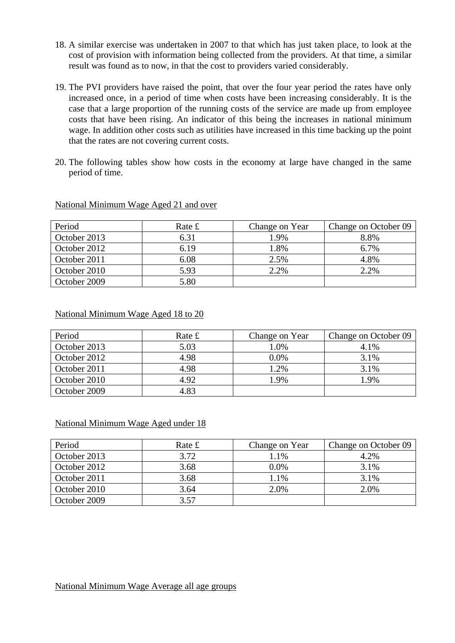- 18. A similar exercise was undertaken in 2007 to that which has just taken place, to look at the cost of provision with information being collected from the providers. At that time, a similar result was found as to now, in that the cost to providers varied considerably.
- 19. The PVI providers have raised the point, that over the four year period the rates have only increased once, in a period of time when costs have been increasing considerably. It is the case that a large proportion of the running costs of the service are made up from employee costs that have been rising. An indicator of this being the increases in national minimum wage. In addition other costs such as utilities have increased in this time backing up the point that the rates are not covering current costs.
- 20. The following tables show how costs in the economy at large have changed in the same period of time.

| Period       | Rate £ | Change on Year | Change on October 09 |
|--------------|--------|----------------|----------------------|
| October 2013 | 6.31   | 1.9%           | 8.8%                 |
| October 2012 | 6.19   | .8%            | $6.7\%$              |
| October 2011 | 6.08   | 2.5%           | 4.8%                 |
| October 2010 | 5.93   | 2.2%           | 2.2%                 |
| October 2009 | 5.80   |                |                      |

National Minimum Wage Aged 21 and over

#### National Minimum Wage Aged 18 to 20

| Period       | Rate £ | Change on Year | Change on October 09 |
|--------------|--------|----------------|----------------------|
| October 2013 | 5.03   | 1.0%           | 4.1%                 |
| October 2012 | 4.98   | 0.0%           | 3.1%                 |
| October 2011 | 4.98   | 1.2%           | 3.1%                 |
| October 2010 | 4.92   | 1.9%           | 1.9%                 |
| October 2009 | 4.83   |                |                      |

National Minimum Wage Aged under 18

| Period       | Rate £ | Change on Year | Change on October 09 |
|--------------|--------|----------------|----------------------|
| October 2013 | 3.72   | 1.1%           | 4.2%                 |
| October 2012 | 3.68   | $0.0\%$        | 3.1%                 |
| October 2011 | 3.68   | 1.1%           | 3.1%                 |
| October 2010 | 3.64   | 2.0%           | 2.0%                 |
| October 2009 | 3.57   |                |                      |

## National Minimum Wage Average all age groups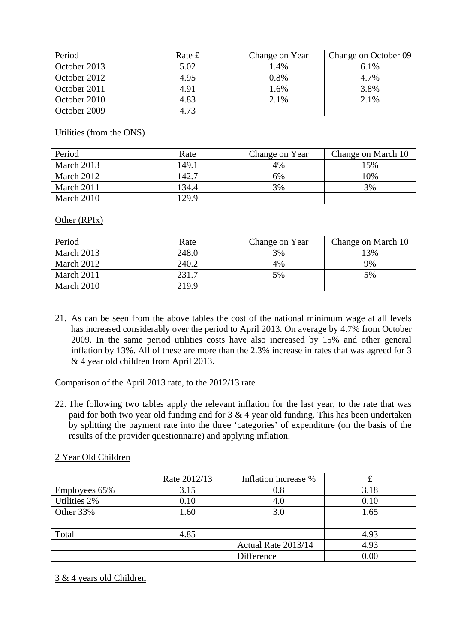| Period       | Rate £ | Change on Year | Change on October 09 |
|--------------|--------|----------------|----------------------|
| October 2013 | 5.02   | 1.4%           | 6.1%                 |
| October 2012 | 4.95   | 0.8%           | 4.7%                 |
| October 2011 | 4.91   | 1.6%           | 3.8%                 |
| October 2010 | 4.83   | 2.1%           | 2.1%                 |
| October 2009 | 4.73   |                |                      |

Utilities (from the ONS)

| Period     | Rate  | Change on Year | Change on March 10 |
|------------|-------|----------------|--------------------|
| March 2013 | 149.1 | 4%             | 15%                |
| March 2012 | 142.7 | 6%             | 10%                |
| March 2011 | 134.4 | 3%             | 3%                 |
| March 2010 | 129.9 |                |                    |

Other (RPIx)

| Period     | Rate  | Change on Year | Change on March 10 |
|------------|-------|----------------|--------------------|
| March 2013 | 248.0 | 3%             | 13%                |
| March 2012 | 240.2 | 4%             | 9%                 |
| March 2011 | 231.7 | 5%             | 5%                 |
| March 2010 | 219.9 |                |                    |

21. As can be seen from the above tables the cost of the national minimum wage at all levels has increased considerably over the period to April 2013. On average by 4.7% from October 2009. In the same period utilities costs have also increased by 15% and other general inflation by 13%. All of these are more than the 2.3% increase in rates that was agreed for 3 & 4 year old children from April 2013.

## Comparison of the April 2013 rate, to the 2012/13 rate

22. The following two tables apply the relevant inflation for the last year, to the rate that was paid for both two year old funding and for  $3 \& 4$  year old funding. This has been undertaken by splitting the payment rate into the three 'categories' of expenditure (on the basis of the results of the provider questionnaire) and applying inflation.

## 2 Year Old Children

|               | Rate 2012/13 | Inflation increase % | t    |
|---------------|--------------|----------------------|------|
| Employees 65% | 3.15         | 0.8                  | 3.18 |
| Utilities 2%  | 0.10         | 4.0                  | 0.10 |
| Other 33%     | 1.60         | 3.0                  | 1.65 |
|               |              |                      |      |
| Total         | 4.85         |                      | 4.93 |
|               |              | Actual Rate 2013/14  | 4.93 |
|               |              | Difference           | 0.00 |

## 3 & 4 years old Children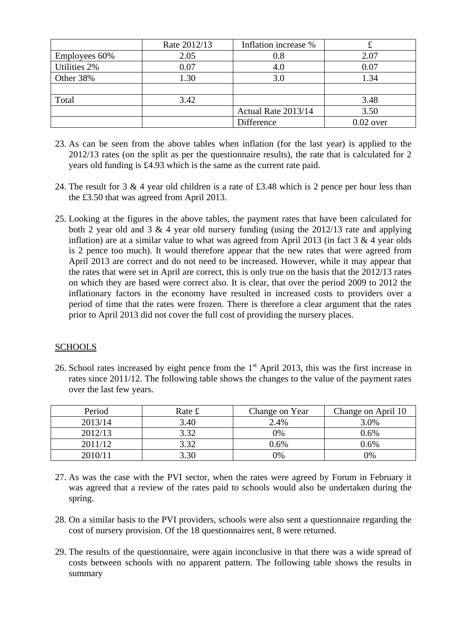|               | Rate 2012/13 | Inflation increase % |             |
|---------------|--------------|----------------------|-------------|
| Employees 60% | 2.05         | 0.8                  | 2.07        |
| Utilities 2%  | 0.07         | 4.0                  | 0.07        |
| Other 38%     | 1.30         | 3.0                  | 1.34        |
|               |              |                      |             |
| Total         | 3.42         |                      | 3.48        |
|               |              | Actual Rate 2013/14  | 3.50        |
|               |              | Difference           | $0.02$ over |

- 23. As can be seen from the above tables when inflation (for the last year) is applied to the 2012/13 rates (on the split as per the questionnaire results), the rate that is calculated for 2 years old funding is £4.93 which is the same as the current rate paid.
- 24. The result for 3 & 4 year old children is a rate of £3.48 which is 2 pence per hour less than the £3.50 that was agreed from April 2013.
- 25. Looking at the figures in the above tables, the payment rates that have been calculated for both 2 year old and 3  $\&$  4 year old nursery funding (using the 2012/13 rate and applying inflation) are at a similar value to what was agreed from April 2013 (in fact  $3 \& 4$  year olds is 2 pence too much). It would therefore appear that the new rates that were agreed from April 2013 are correct and do not need to be increased. However, while it may appear that the rates that were set in April are correct, this is only true on the basis that the 2012/13 rates on which they are based were correct also. It is clear, that over the period 2009 to 2012 the inflationary factors in the economy have resulted in increased costs to providers over a period of time that the rates were frozen. There is therefore a clear argument that the rates prior to April 2013 did not cover the full cost of providing the nursery places.

## **SCHOOLS**

26. School rates increased by eight pence from the 1<sup>st</sup> April 2013, this was the first increase in rates since 2011/12. The following table shows the changes to the value of the payment rates over the last few years.

| Period  | Rate £ | Change on Year | Change on April 10 |
|---------|--------|----------------|--------------------|
| 2013/14 | 3.40   | 2.4%           | 3.0%               |
| 2012/13 | 3.32   | 0%             | $0.6\%$            |
| 2011/12 | 3.32   | $0.6\%$        | 0.6%               |
| 2010/11 | 3.30   | 0%             | 9%                 |

- 27. As was the case with the PVI sector, when the rates were agreed by Forum in February it was agreed that a review of the rates paid to schools would also be undertaken during the spring.
- 28. On a similar basis to the PVI providers, schools were also sent a questionnaire regarding the cost of nursery provision. Of the 18 questionnaires sent, 8 were returned.
- 29. The results of the questionnaire, were again inconclusive in that there was a wide spread of costs between schools with no apparent pattern. The following table shows the results in summary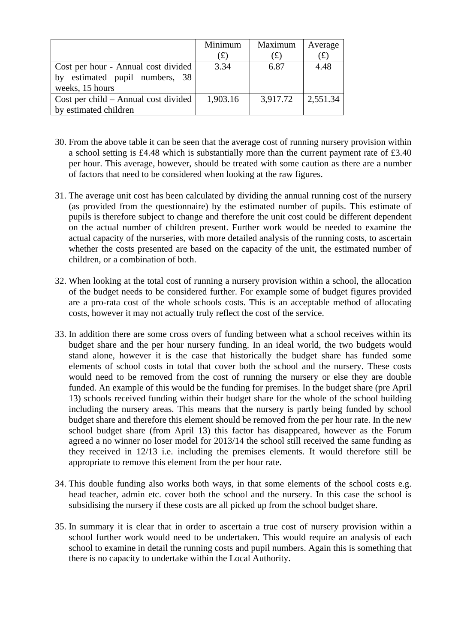|                                        | Minimum   | Maximum  | Average                |
|----------------------------------------|-----------|----------|------------------------|
|                                        | $\bf (f)$ | (t)      | $(\text{\large\it f})$ |
| Cost per hour - Annual cost divided    | 3.34      | 6.87     | 4.48                   |
| estimated pupil numbers, 38<br>by      |           |          |                        |
| weeks, 15 hours                        |           |          |                        |
| $Cost per child - Annual cost divided$ | 1,903.16  | 3,917.72 | 2,551.34               |
| by estimated children                  |           |          |                        |

- 30. From the above table it can be seen that the average cost of running nursery provision within a school setting is £4.48 which is substantially more than the current payment rate of £3.40 per hour. This average, however, should be treated with some caution as there are a number of factors that need to be considered when looking at the raw figures.
- 31. The average unit cost has been calculated by dividing the annual running cost of the nursery (as provided from the questionnaire) by the estimated number of pupils. This estimate of pupils is therefore subject to change and therefore the unit cost could be different dependent on the actual number of children present. Further work would be needed to examine the actual capacity of the nurseries, with more detailed analysis of the running costs, to ascertain whether the costs presented are based on the capacity of the unit, the estimated number of children, or a combination of both.
- 32. When looking at the total cost of running a nursery provision within a school, the allocation of the budget needs to be considered further. For example some of budget figures provided are a pro-rata cost of the whole schools costs. This is an acceptable method of allocating costs, however it may not actually truly reflect the cost of the service.
- 33. In addition there are some cross overs of funding between what a school receives within its budget share and the per hour nursery funding. In an ideal world, the two budgets would stand alone, however it is the case that historically the budget share has funded some elements of school costs in total that cover both the school and the nursery. These costs would need to be removed from the cost of running the nursery or else they are double funded. An example of this would be the funding for premises. In the budget share (pre April 13) schools received funding within their budget share for the whole of the school building including the nursery areas. This means that the nursery is partly being funded by school budget share and therefore this element should be removed from the per hour rate. In the new school budget share (from April 13) this factor has disappeared, however as the Forum agreed a no winner no loser model for 2013/14 the school still received the same funding as they received in 12/13 i.e. including the premises elements. It would therefore still be appropriate to remove this element from the per hour rate.
- 34. This double funding also works both ways, in that some elements of the school costs e.g. head teacher, admin etc. cover both the school and the nursery. In this case the school is subsidising the nursery if these costs are all picked up from the school budget share.
- 35. In summary it is clear that in order to ascertain a true cost of nursery provision within a school further work would need to be undertaken. This would require an analysis of each school to examine in detail the running costs and pupil numbers. Again this is something that there is no capacity to undertake within the Local Authority.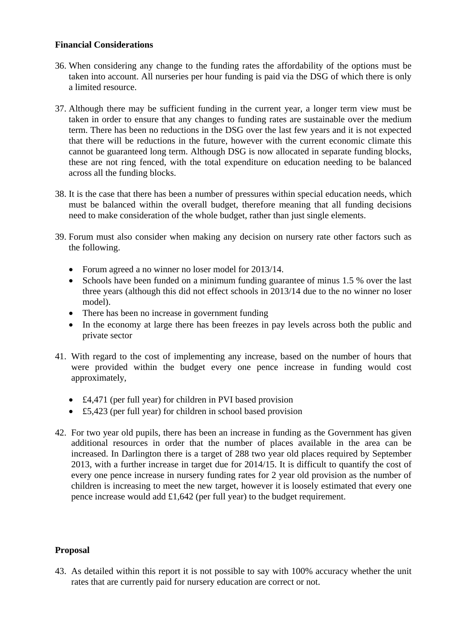## **Financial Considerations**

- 36. When considering any change to the funding rates the affordability of the options must be taken into account. All nurseries per hour funding is paid via the DSG of which there is only a limited resource.
- 37. Although there may be sufficient funding in the current year, a longer term view must be taken in order to ensure that any changes to funding rates are sustainable over the medium term. There has been no reductions in the DSG over the last few years and it is not expected that there will be reductions in the future, however with the current economic climate this cannot be guaranteed long term. Although DSG is now allocated in separate funding blocks, these are not ring fenced, with the total expenditure on education needing to be balanced across all the funding blocks.
- 38. It is the case that there has been a number of pressures within special education needs, which must be balanced within the overall budget, therefore meaning that all funding decisions need to make consideration of the whole budget, rather than just single elements.
- 39. Forum must also consider when making any decision on nursery rate other factors such as the following.
	- Forum agreed a no winner no loser model for 2013/14.
	- Schools have been funded on a minimum funding guarantee of minus 1.5 % over the last three years (although this did not effect schools in 2013/14 due to the no winner no loser model).
	- There has been no increase in government funding
	- In the economy at large there has been freezes in pay levels across both the public and private sector
- 41. With regard to the cost of implementing any increase, based on the number of hours that were provided within the budget every one pence increase in funding would cost approximately,
	- £4,471 (per full year) for children in PVI based provision
	- £5,423 (per full year) for children in school based provision
- 42. For two year old pupils, there has been an increase in funding as the Government has given additional resources in order that the number of places available in the area can be increased. In Darlington there is a target of 288 two year old places required by September 2013, with a further increase in target due for 2014/15. It is difficult to quantify the cost of every one pence increase in nursery funding rates for 2 year old provision as the number of children is increasing to meet the new target, however it is loosely estimated that every one pence increase would add £1,642 (per full year) to the budget requirement.

## **Proposal**

43. As detailed within this report it is not possible to say with 100% accuracy whether the unit rates that are currently paid for nursery education are correct or not.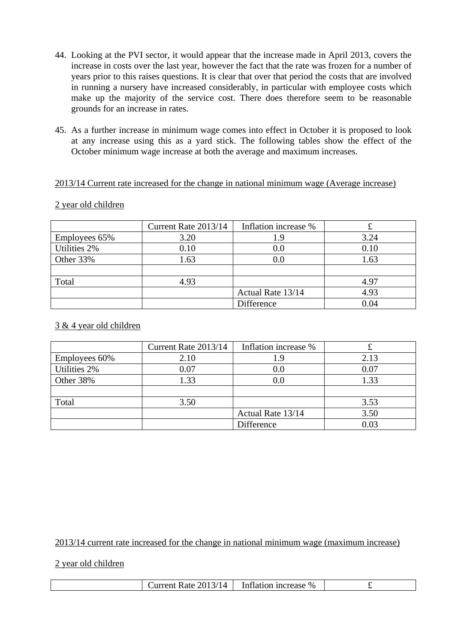- 44. Looking at the PVI sector, it would appear that the increase made in April 2013, covers the increase in costs over the last year, however the fact that the rate was frozen for a number of years prior to this raises questions. It is clear that over that period the costs that are involved in running a nursery have increased considerably, in particular with employee costs which make up the majority of the service cost. There does therefore seem to be reasonable grounds for an increase in rates.
- 45. As a further increase in minimum wage comes into effect in October it is proposed to look at any increase using this as a yard stick. The following tables show the effect of the October minimum wage increase at both the average and maximum increases.

## 2013/14 Current rate increased for the change in national minimum wage (Average increase)

#### 2 year old children

|               | Current Rate 2013/14 | Inflation increase % |      |
|---------------|----------------------|----------------------|------|
| Employees 65% | 3.20                 | 1.9                  | 3.24 |
| Utilities 2%  | 0.10                 | 0.0                  | 0.10 |
| Other 33%     | 1.63                 | 0.0                  | 1.63 |
|               |                      |                      |      |
| Total         | 4.93                 |                      | 4.97 |
|               |                      | Actual Rate 13/14    | 4.93 |
|               |                      | Difference           | 0.04 |

#### 3 & 4 year old children

|               | Current Rate 2013/14 | Inflation increase % |      |
|---------------|----------------------|----------------------|------|
| Employees 60% | 2.10                 | 1.9                  | 2.13 |
| Utilities 2%  | 0.07                 | $0.0\,$              | 0.07 |
| Other 38%     | 1.33                 | 0.0                  | 1.33 |
|               |                      |                      |      |
| Total         | 3.50                 |                      | 3.53 |
|               |                      | Actual Rate 13/14    | 3.50 |
|               |                      | Difference           | 0.03 |

2013/14 current rate increased for the change in national minimum wage (maximum increase)

#### 2 year old children

| . ור<br>Inflation<br>Rate <sup>1</sup><br>Current<br>ncrease<br>$\%$<br>2013/14<br>. |
|--------------------------------------------------------------------------------------|
|--------------------------------------------------------------------------------------|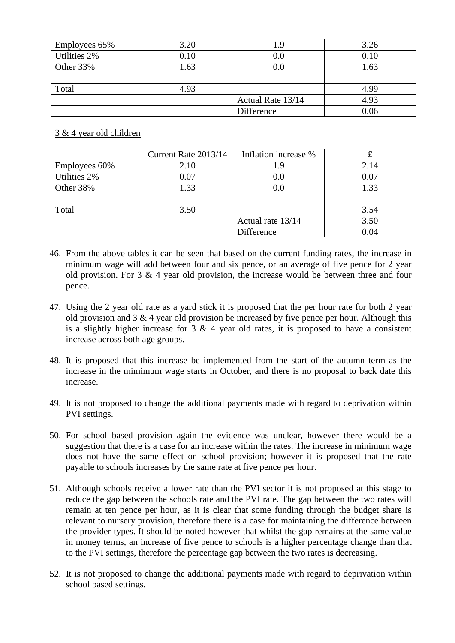| Employees 65% | 3.20 | 1.9               | 3.26 |
|---------------|------|-------------------|------|
| Utilities 2%  | 0.10 | $0.0\,$           | 0.10 |
| Other 33%     | 1.63 | $0.0\,$           | 1.63 |
|               |      |                   |      |
| Total         | 4.93 |                   | 4.99 |
|               |      | Actual Rate 13/14 | 4.93 |
|               |      | Difference        | 0.06 |

## 3 & 4 year old children

|               | Current Rate 2013/14 | Inflation increase % |      |
|---------------|----------------------|----------------------|------|
| Employees 60% | 2.10                 | 1.9                  | 2.14 |
| Utilities 2%  | 0.07                 | 0.0                  | 0.07 |
| Other 38%     | 1.33                 | $0.0\,$              | 1.33 |
|               |                      |                      |      |
| Total         | 3.50                 |                      | 3.54 |
|               |                      | Actual rate 13/14    | 3.50 |
|               |                      | Difference           | 0.04 |

- 46. From the above tables it can be seen that based on the current funding rates, the increase in minimum wage will add between four and six pence, or an average of five pence for 2 year old provision. For 3 & 4 year old provision, the increase would be between three and four pence.
- 47. Using the 2 year old rate as a yard stick it is proposed that the per hour rate for both 2 year old provision and  $3 \& 4$  year old provision be increased by five pence per hour. Although this is a slightly higher increase for  $3 \& 4$  year old rates, it is proposed to have a consistent increase across both age groups.
- 48. It is proposed that this increase be implemented from the start of the autumn term as the increase in the mimimum wage starts in October, and there is no proposal to back date this increase.
- 49. It is not proposed to change the additional payments made with regard to deprivation within PVI settings.
- 50. For school based provision again the evidence was unclear, however there would be a suggestion that there is a case for an increase within the rates. The increase in minimum wage does not have the same effect on school provision; however it is proposed that the rate payable to schools increases by the same rate at five pence per hour.
- 51. Although schools receive a lower rate than the PVI sector it is not proposed at this stage to reduce the gap between the schools rate and the PVI rate. The gap between the two rates will remain at ten pence per hour, as it is clear that some funding through the budget share is relevant to nursery provision, therefore there is a case for maintaining the difference between the provider types. It should be noted however that whilst the gap remains at the same value in money terms, an increase of five pence to schools is a higher percentage change than that to the PVI settings, therefore the percentage gap between the two rates is decreasing.
- 52. It is not proposed to change the additional payments made with regard to deprivation within school based settings.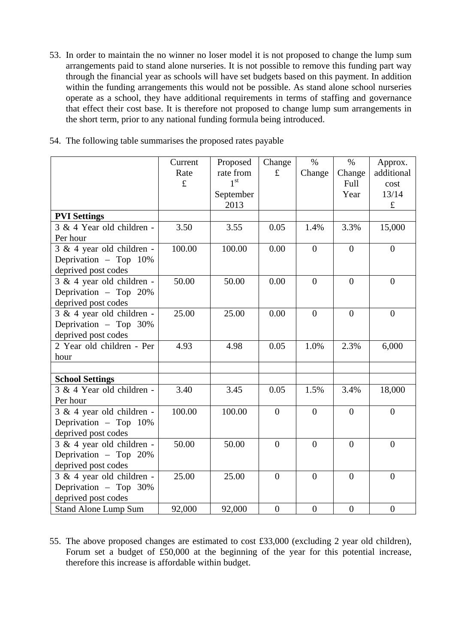53. In order to maintain the no winner no loser model it is not proposed to change the lump sum arrangements paid to stand alone nurseries. It is not possible to remove this funding part way through the financial year as schools will have set budgets based on this payment. In addition within the funding arrangements this would not be possible. As stand alone school nurseries operate as a school, they have additional requirements in terms of staffing and governance that effect their cost base. It is therefore not proposed to change lump sum arrangements in the short term, prior to any national funding formula being introduced.

|  |  | 54. The following table summarises the proposed rates payable |  |  |  |
|--|--|---------------------------------------------------------------|--|--|--|
|  |  |                                                               |  |  |  |
|  |  |                                                               |  |  |  |
|  |  |                                                               |  |  |  |

|                             | Current     | Proposed        | Change         | $\%$           | $\%$             | Approx.          |
|-----------------------------|-------------|-----------------|----------------|----------------|------------------|------------------|
|                             | Rate        | rate from       | $\mathbf f$    | Change         | Change           | additional       |
|                             | $\mathbf f$ | 1 <sup>st</sup> |                |                | Full             | cost             |
|                             |             | September       |                |                | Year             | 13/14            |
|                             |             | 2013            |                |                |                  | $\pounds$        |
| <b>PVI Settings</b>         |             |                 |                |                |                  |                  |
| 3 & 4 Year old children -   | 3.50        | 3.55            | 0.05           | 1.4%           | 3.3%             | 15,000           |
| Per hour                    |             |                 |                |                |                  |                  |
| 3 & 4 year old children -   | 100.00      | 100.00          | 0.00           | $\overline{0}$ | $\overline{0}$   | $\overline{0}$   |
| Deprivation - Top 10%       |             |                 |                |                |                  |                  |
| deprived post codes         |             |                 |                |                |                  |                  |
| 3 & 4 year old children -   | 50.00       | 50.00           | 0.00           | $\overline{0}$ | $\overline{0}$   | $\overline{0}$   |
| Deprivation - Top 20%       |             |                 |                |                |                  |                  |
| deprived post codes         |             |                 |                |                |                  |                  |
| 3 & 4 year old children -   | 25.00       | 25.00           | 0.00           | $\theta$       | $\theta$         | $\theta$         |
| Deprivation - Top 30%       |             |                 |                |                |                  |                  |
| deprived post codes         |             |                 |                |                |                  |                  |
| 2 Year old children - Per   | 4.93        | 4.98            | 0.05           | 1.0%           | 2.3%             | 6,000            |
| hour                        |             |                 |                |                |                  |                  |
|                             |             |                 |                |                |                  |                  |
| <b>School Settings</b>      |             |                 |                |                |                  |                  |
| 3 & 4 Year old children -   | 3.40        | 3.45            | 0.05           | 1.5%           | 3.4%             | 18,000           |
| Per hour                    |             |                 |                |                |                  |                  |
| 3 & 4 year old children -   | 100.00      | 100.00          | $\mathbf{0}$   | $\overline{0}$ | $\overline{0}$   | $\overline{0}$   |
| Deprivation - Top 10%       |             |                 |                |                |                  |                  |
| deprived post codes         |             |                 |                |                |                  |                  |
| 3 & 4 year old children -   | 50.00       | 50.00           | $\overline{0}$ | $\theta$       | $\theta$         | $\overline{0}$   |
| Deprivation - Top 20%       |             |                 |                |                |                  |                  |
| deprived post codes         |             |                 |                |                |                  |                  |
| 3 & 4 year old children -   | 25.00       | 25.00           | $\overline{0}$ | $\overline{0}$ | $\overline{0}$   | $\overline{0}$   |
| Deprivation - Top 30%       |             |                 |                |                |                  |                  |
| deprived post codes         |             |                 |                |                |                  |                  |
| <b>Stand Alone Lump Sum</b> | 92,000      | 92,000          | $\overline{0}$ | $\overline{0}$ | $\boldsymbol{0}$ | $\boldsymbol{0}$ |

55. The above proposed changes are estimated to cost £33,000 (excluding 2 year old children), Forum set a budget of £50,000 at the beginning of the year for this potential increase, therefore this increase is affordable within budget.